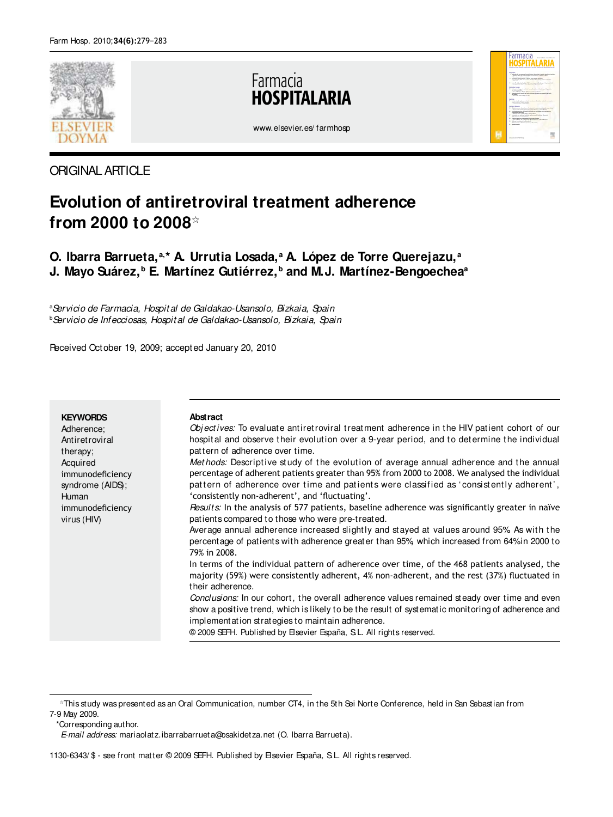

## ORIGINAL ARTICLE

# **Evolution of antiretroviral treatment adherence from 2000 to 2008**☆

## **O. Ibarra Barrueta, a,\* A. Urrutia Losada, <sup>a</sup> A. López de Torre Querejazu, <sup>a</sup> J. Mayo Suárez, <sup>b</sup> E. Martínez Gutiérrez, <sup>b</sup> and M.J. Martínez-Bengoechea<sup>a</sup>**

a Servicio de Farmacia, Hospital de Galdakao-Usansolo, Bizkaia, Spain **bServicio de Infecciosas, Hospital de Galdakao-Usansolo, Bizkaia, Spain** 

Received October 19, 2009; accepted January 20, 2010

#### **Abstract** Objectives: To evaluate antiretroviral treatment adherence in the HIV patient cohort of our hospital and observe their evolution over a 9-year period, and to determine the individual pattern of adherence over time. Met hods: Descriptive study of the evolution of average annual adherence and the annual percentage of adherent patients greater than 95% from 2000 to 2008. We analysed the individual pattern of adherence over time and patients were classified as 'consistently adherent', 'consistently non-adherent', and 'fluctuating'. Results: In the analysis of 577 patients, baseline adherence was significantly greater in naïve patients compared to those who were pre-treated. Average annual adherence increased slightly and stayed at values around 95% As with the percentage of patients with adherence greater than 95%, which increased from 64% in 2000 to 79% in 2008. In terms of the individual pattern of adherence over time, of the 468 patients analysed, the majority (59%) were consistently adherent, 4% non-adherent, and the rest (37%) fluctuated in their adherence. Conclusions: In our cohort, the overall adherence values remained steady over time and even show a positive trend, which is likely to be the result of systematic monitoring of adherence and implementation strategies to maintain adherence. © 2009 SEFH. Published by Elsevier España, S.L. All rights reserved. **KEYWORDS** Adherence; Antiretroviral therapy; Acquired immunodeficiency syndrome (AIDS); Human immunodeficiency virus (HIV)

\*Corresponding author.

<sup>☆</sup>This study was presented as an Oral Communication, number CT4, in the 5th Sei Norte Conference, held in San Sebastian from 7-9 May 2009.

E-mail address: mariaolatz.ibarrabarrueta@osakidetza.net (O. Ibarra Barrueta).

<sup>1130-6343/ \$ -</sup> see front matter © 2009 SEFH. Published by Elsevier España, S.L. All rights reserved.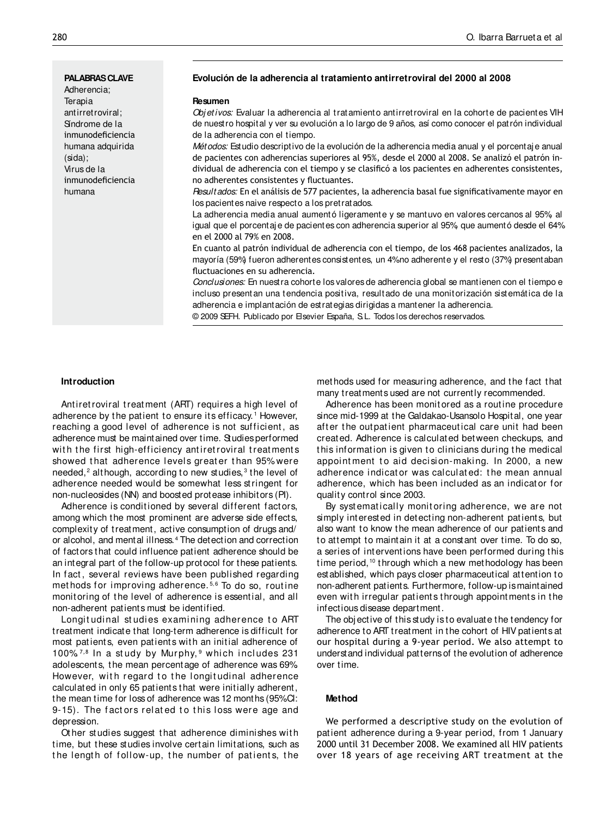**PALABRAS CLAVE** Adherencia; Terapia antirretroviral; Síndrome de la inmunodeficiencia humana adquirida (sida); Virus de la inmunodeficiencia humana

#### **Evolución de la adherencia al tratamiento antirretroviral del 2000 al 2008**

#### **Resumen**

Objetivos: Evaluar la adherencia al tratamiento antirretroviral en la cohorte de pacientes VIH de nuestro hospital y ver su evolución a lo largo de 9 años, así como conocer el patrón individual de la adherencia con el tiempo.

Métodos: Estudio descriptivo de la evolución de la adherencia media anual y el porcentaje anual de pacientes con adherencias superiores al 95%, desde el 2000 al 2008. Se analizó el patrón individual de adherencia con el tiempo y se clasificó a los pacientes en adherentes consistentes, no adherentes consistentes y fluctuantes.

Resultados: En el análisis de 577 pacientes, la adherencia basal fue significativamente mayor en los pacientes naive respecto a los pretratados.

La adherencia media anual aumentó ligeramente y se mantuvo en valores cercanos al 95%, al igual que el porcentaje de pacientes con adherencia superior al 95% que aumentó desde el 64% en el 2000 al 79% en 2008.

En cuanto al patrón individual de adherencia con el tiempo, de los 468 pacientes analizados, la mayoría (59%) fueron adherentes consistentes, un 4% no adherente y el resto (37%) presentaban fluctuaciones en su adherencia.

Conclusiones: En nuestra cohorte los valores de adherencia global se mantienen con el tiempo e incluso presentan una tendencia positiva, resultado de una monitorización sistemática de la adherencia e implantación de estrategias dirigidas a mantener la adherencia.

© 2009 SEFH. Publicado por Elsevier España, S.L. Todos los derechos reservados.

#### **Introduction**

Antiret roviral treatment (ART) requires a high level of adherence by the patient to ensure its efficacy. <sup>1</sup> However, reaching a good level of adherence is not sufficient, as adherence must be maintained over time. Studies performed with the first high-efficiency antiretroviral treatments showed that adherence levels greater than 95% were needed,<sup>2</sup> although, according to new studies,<sup>3</sup> the level of adherence needed would be somewhat less st ringent for non-nucleosides (NN) and boosted protease inhibitors (PI).

Adherence is conditioned by several different factors, among which the most prominent are adverse side effects, complexity of treatment, active consumption of drugs and/ or alcohol, and mental illness. <sup>4</sup> The detection and correction of factors that could influence patient adherence should be an integral part of the follow-up protocol for these patients. In fact, several reviews have been published regarding methods for improving adherence.<sup>5,6</sup> To do so, routine monitoring of the level of adherence is essential, and all non-adherent patients must be identified.

Longitudinal studies examining adherence to ART treatment indicate that long-term adherence is difficult for most patients, even patients with an initial adherence of 100% $^{7,8}$  In a study by Murphy, $^9$  which includes 231 adolescents, the mean percentage of adherence was 69%. However, with regard to the longitudinal adherence calculated in only 65 patients that were initially adherent, the mean time for loss of adherence was 12 months (95% CI: 9-15). The factors related to this loss were age and depression.

Ot her st udies suggest t hat adherence diminishes wit h time, but these studies involve certain limitations, such as the length of follow-up, the number of patients, the

methods used for measuring adherence, and the fact that many treatments used are not currently recommended.

Adherence has been monit ored as a rout ine procedure since mid-1999 at the Galdakao-Usansolo Hospital, one year after the outpatient pharmaceutical care unit had been created. Adherence is calculated between checkups, and this information is given to clinicians during the medical appoint ment to aid decision-making. In 2000, a new adherence indicat or was calculat ed: t he mean annual adherence, which has been included as an indicat or for quality control since 2003.

By systematically monitoring adherence, we are not simply interested in detecting non-adherent patients, but also want to know the mean adherence of our patients and to attempt to maintain it at a constant over time. To do so, a series of interventions have been performed during this time period,<sup>10</sup> through which a new methodology has been established, which pays closer pharmaceutical attention to non-adherent patients. Furthermore, follow-up is maintained even with irregular patients through appointments in the infectious disease department.

The obj ective of this study is to evaluate the tendency for adherence to ART treatment in the cohort of HIV patients at our hospital during a 9-year period. We also attempt to understand individual patterns of the evolution of adherence over time.

#### **Method**

We performed a descriptive study on the evolution of patient adherence during a 9-year period, from 1 January 2000 until 31 December 2008. We examined all HIV patients over 18 years of age receiving ART treatment at the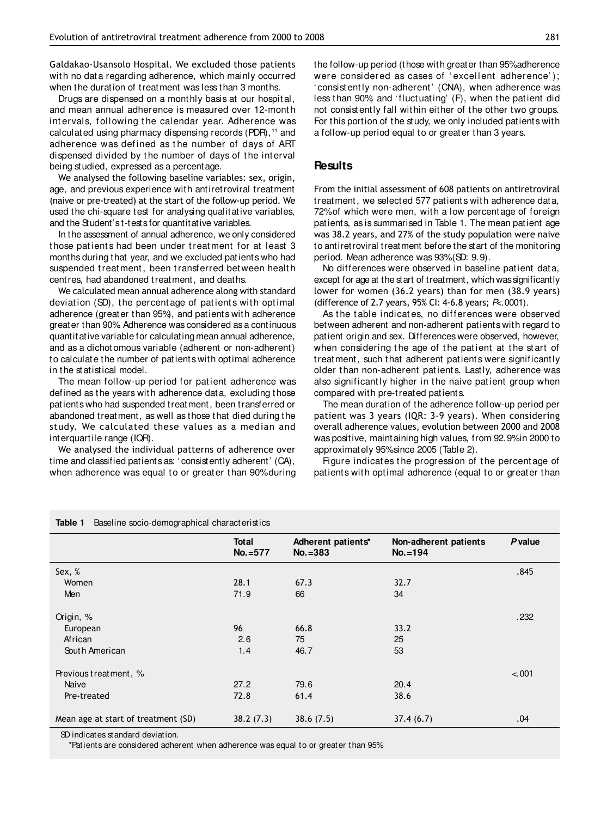Galdakao-Usansolo Hospital. We excluded those patients with no data regarding adherence, which mainly occurred when the duration of treatment was less than 3 months.

Drugs are dispensed on a monthly basis at our hospital, and mean annual adherence is measured over 12-month int ervals, following the calendar year. Adherence was calculated using pharmacy dispensing records (PDR), <sup>11</sup> and adherence was defined as the number of days of ART dispensed divided by the number of days of the interval being studied, expressed as a percentage.

We analysed the following baseline variables: sex, origin, age, and previous experience with antiretroviral treatment (naive or pre-treated) at the start of the follow-up period. We used the chi-square test for analysing qualitative variables, and the Student's t-tests for quantitative variables.

In the assessment of annual adherence, we only considered those patients had been under treatment for at least 3 months during that year, and we excluded patients who had suspended treatment, been transferred between health centres, had abandoned treatment, and deaths.

We calculated mean annual adherence along with standard deviation (SD), the percentage of patients with optimal adherence (greater than 95%), and patients with adherence greater than 90%. Adherence was considered as a continuous quantitative variable for calculating mean annual adherence, and as a dichotomous variable (adherent or non-adherent) to calculate the number of patients with optimal adherence in the statistical model.

The mean follow-up period for patient adherence was defined as the years with adherence data, excluding those patients who had suspended treatment, been transferred or abandoned treatment, as well as those that died during the study. We calculated these values as a median and interquartile range (IQR).

We analysed the individual patterns of adherence over time and classified patients as: 'consistently adherent' (CA), when adherence was equal to or greater than 90% during the follow-up period (those with greater than 95% adherence were considered as cases of 'excellent adherence'); ' consist ently non-adherent' (CNA), when adherence was less than 90% and 'fluctuating' (F), when the patient did not consistently fall within either of the other two groups. For this portion of the study, we only included patients with a follow-up period equal to or greater than 3 years.

#### **Results**

From the initial assessment of 608 patients on antiretroviral treatment, we selected 577 patients with adherence data, 72% of which were men, with a low percentage of foreign patients, as is summarised in Table 1. The mean patient age was 38.2 years, and 27% of the study population were naive to antiretroviral treatment before the start of the monitoring period. Mean adherence was 93% (SD: 9.9).

No differences were observed in baseline patient data, except for age at the start of treatment, which was significantly lower for women (36.2 years) than for men (38.9 years) (difference of 2.7 years, 95% CI: 4-6.8 years; P<.0001).

As the table indicates, no differences were observed between adherent and non-adherent patients with regard to patient origin and sex. Differences were observed, however, when considering the age of the patient at the start of treatment, such that adherent patients were significantly older than non-adherent patients. Lastly, adherence was also significantly higher in the naive patient group when compared with pre-treated patients.

The mean duration of the adherence follow-up period per patient was 3 years (IQR: 3-9 years). When considering overall adherence values, evolution between 2000 and 2008 was positive, maintaining high values, from 92.9% in 2000 to approximately 95% since 2005 (Table 2).

Figure indicates the progression of the percentage of patients with optimal adherence (equal to or greater than

| Baseline socio-demographical characteristics<br>Table 1 |                           |                                   |                                      |                |  |  |  |  |  |  |
|---------------------------------------------------------|---------------------------|-----------------------------------|--------------------------------------|----------------|--|--|--|--|--|--|
|                                                         | <b>Total</b><br>$No.=577$ | Adherent patients*<br>$No. = 383$ | Non-adherent patients<br>$No. = 194$ | <b>P</b> value |  |  |  |  |  |  |
| Sex, %                                                  |                           |                                   |                                      | .845           |  |  |  |  |  |  |
| Women                                                   | 28.1                      | 67.3                              | 32.7                                 |                |  |  |  |  |  |  |
| Men                                                     | 71.9                      | 66                                | 34                                   |                |  |  |  |  |  |  |
| Origin, %                                               |                           |                                   |                                      | .232           |  |  |  |  |  |  |
| European                                                | 96                        | 66.8                              | 33.2                                 |                |  |  |  |  |  |  |
| African                                                 | 2.6                       | 75                                | 25                                   |                |  |  |  |  |  |  |
| South American                                          | 1.4                       | 46.7                              | 53                                   |                |  |  |  |  |  |  |
| Previous treatment, %                                   |                           |                                   |                                      | < .001         |  |  |  |  |  |  |
| Naive                                                   | 27.2                      | 79.6                              | 20.4                                 |                |  |  |  |  |  |  |
| Pre-treated                                             | 72.8                      | 61.4                              | 38.6                                 |                |  |  |  |  |  |  |
| Mean age at start of treatment (SD)                     | 38.2(7.3)                 | 38.6(7.5)                         | 37.4(6.7)                            | .04            |  |  |  |  |  |  |

SD indicates standard deviation.

\*Patients are considered adherent when adherence was equal to or greater than 95%.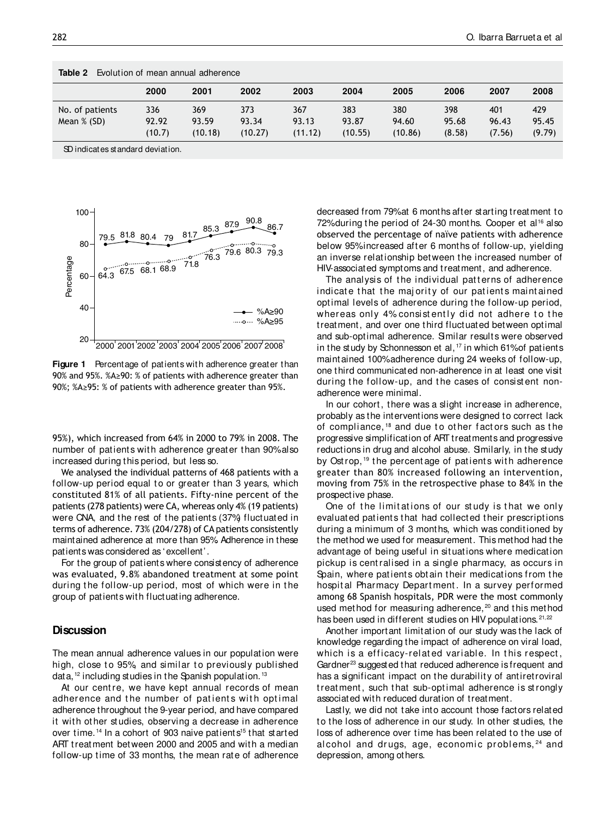| Tapic 2<br>LVULUITUITUITII HIIGAITI AITII UATAUTIGI GITUG |                        |                         |                         |                         |                         |                         |                        |                        |                        |  |  |
|-----------------------------------------------------------|------------------------|-------------------------|-------------------------|-------------------------|-------------------------|-------------------------|------------------------|------------------------|------------------------|--|--|
|                                                           | 2000                   | 2001                    | 2002                    | 2003                    | 2004                    | 2005                    | 2006                   | 2007                   | 2008                   |  |  |
| No. of patients<br>Mean $%$ (SD)                          | 336<br>92.92<br>(10.7) | 369<br>93.59<br>(10.18) | 373<br>93.34<br>(10.27) | 367<br>93.13<br>(11.12) | 383<br>93.87<br>(10.55) | 380<br>94.60<br>(10.86) | 398<br>95.68<br>(8.58) | 401<br>96.43<br>(7.56) | 429<br>95.45<br>(9.79) |  |  |
| .                                                         |                        |                         |                         |                         |                         |                         |                        |                        |                        |  |  |

**Table 2** Evolution of mean annual adherence

SD indicates standard deviation.



Figure 1 Percentage of patients with adherence greater than 90% and 95%. %A≥90: % of patients with adherence greater than 90%; %A≥95: % of patients with adherence greater than 95%.

95%), which increased from 64% in 2000 to 79% in 2008. The number of patients with adherence greater than 90% also increased during this period, but less so.

We analysed the individual patterns of 468 patients with a follow-up period equal to or greater than 3 years, which constituted 81% of all patients. Fifty-nine percent of the patients (278 patients) were CA, whereas only 4% (19 patients) were CNA, and the rest of the patients (37%) fluctuated in terms of adherence. 73% (204/278) of CA patients consistently maintained adherence at more than 95%. Adherence in these patients was considered as 'excellent'.

For the group of patients where consistency of adherence was evaluated, 9.8% abandoned treatment at some point during the follow-up period, most of which were in the group of patients with fluctuating adherence.

#### **Discussion**

The mean annual adherence values in our population were high, close to 95% and similar to previously published data, <sup>12</sup> including studies in the Spanish population.<sup>13</sup>

At our centre, we have kept annual records of mean adherence and the number of patients with optimal adherence throughout the 9-year period, and have compared it with other studies, observing a decrease in adherence over time.<sup>14</sup> In a cohort of 903 naive patients<sup>15</sup> that started ART treatment between 2000 and 2005 and with a median follow-up time of 33 months, the mean rate of adherence decreased from 79% at 6 months after starting treatment to 72% during the period of 24-30 months. Cooper et al<sup>16</sup> also observed the percentage of naïve patients with adherence below 95% increased after 6 months of follow-up, yielding an inverse relationship between the increased number of HIV-associated symptoms and treatment, and adherence.

The analysis of the individual patterns of adherence indicate that the majority of our patients maintained optimal levels of adherence during the follow-up period, whereas only 4% consistently did not adhere to the treatment, and over one third fluctuated between optimal and sub-optimal adherence. Similar results were observed in the study by Schonnesson et al,<sup>17</sup> in which 61% of patients maintained 100% adherence during 24 weeks of follow-up, one third communicated non-adherence in at least one visit during the follow-up, and the cases of consistent nonadherence were minimal.

In our cohort, there was a slight increase in adherence, probably as the interventions were designed to correct lack of compliance,<sup>18</sup> and due to other factors such as the progressive simplification of ART treatments and progressive reductions in drug and alcohol abuse. Similarly, in the study by Ostrop,<sup>19</sup> the percentage of patients with adherence greater than 80% increased following an intervention, moving from 75% in the retrospective phase to 84% in the prospective phase.

One of the limitations of our study is that we only evaluated patients that had collected their prescriptions during a minimum of 3 months, which was conditioned by the method we used for measurement. This method had the advantage of being useful in situations where medication pickup is cent ralised in a single pharmacy, as occurs in Spain, where patients obtain their medications from the hospital Pharmacy Department. In a survey performed among 68 Spanish hospitals, PDR were the most commonly used method for measuring adherence, <sup>20</sup> and this method has been used in different studies on HIV populations. 21,22

Another important limitation of our study was the lack of knowledge regarding the impact of adherence on viral load, which is a efficacy-related variable. In this respect, Gardner<sup>23</sup> suggested that reduced adherence is frequent and has a significant impact on the durability of antiretroviral treatment, such that sub-optimal adherence is strongly associated with reduced duration of treatment.

Lastly, we did not take into account those factors related to the loss of adherence in our study. In other studies, the loss of adherence over time has been related to the use of al cohol and drugs, age, economic problems,  $24$  and depression, among others.